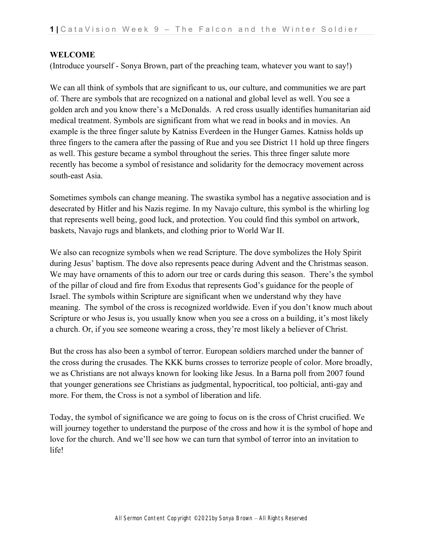## **WELCOME**

(Introduce yourself - Sonya Brown, part of the preaching team, whatever you want to say!)

We can all think of symbols that are significant to us, our culture, and communities we are part of. There are symbols that are recognized on a national and global level as well. You see a golden arch and you know there's a McDonalds. A red cross usually identifies humanitarian aid medical treatment. Symbols are significant from what we read in books and in movies. An example is the three finger salute by Katniss Everdeen in the Hunger Games. Katniss holds up three fingers to the camera after the passing of Rue and you see District 11 hold up three fingers as well. This gesture became a symbol throughout the series. This three finger salute more recently has become a symbol of resistance and solidarity for the democracy movement across south-east Asia.

Sometimes symbols can change meaning. The swastika symbol has a negative association and is desecrated by Hitler and his Nazis regime. In my Navajo culture, this symbol is the whirling log that represents well being, good luck, and protection. You could find this symbol on artwork, baskets, Navajo rugs and blankets, and clothing prior to World War II.

We also can recognize symbols when we read Scripture. The dove symbolizes the Holy Spirit during Jesus' baptism. The dove also represents peace during Advent and the Christmas season. We may have ornaments of this to adorn our tree or cards during this season. There's the symbol of the pillar of cloud and fire from Exodus that represents God's guidance for the people of Israel. The symbols within Scripture are significant when we understand why they have meaning. The symbol of the cross is recognized worldwide. Even if you don't know much about Scripture or who Jesus is, you usually know when you see a cross on a building, it's most likely a church. Or, if you see someone wearing a cross, they're most likely a believer of Christ.

But the cross has also been a symbol of terror. European soldiers marched under the banner of the cross during the crusades. The KKK burns crosses to terrorize people of color. More broadly, we as Christians are not always known for looking like Jesus. In a Barna poll from 2007 found that younger generations see Christians as judgmental, hypocritical, too polticial, anti-gay and more. For them, the Cross is not a symbol of liberation and life.

Today, the symbol of significance we are going to focus on is the cross of Christ crucified. We will journey together to understand the purpose of the cross and how it is the symbol of hope and love for the church. And we'll see how we can turn that symbol of terror into an invitation to life!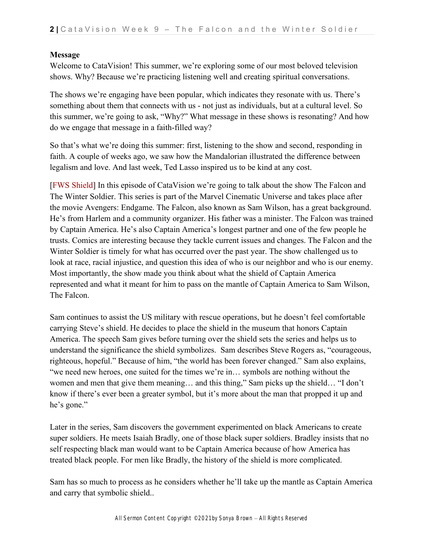## **Message**

Welcome to CataVision! This summer, we're exploring some of our most beloved television shows. Why? Because we're practicing listening well and creating spiritual conversations.

The shows we're engaging have been popular, which indicates they resonate with us. There's something about them that connects with us - not just as individuals, but at a cultural level. So this summer, we're going to ask, "Why?" What message in these shows is resonating? And how do we engage that message in a faith-filled way?

So that's what we're doing this summer: first, listening to the show and second, responding in faith. A couple of weeks ago, we saw how the Mandalorian illustrated the difference between legalism and love. And last week, Ted Lasso inspired us to be kind at any cost.

[FWS Shield] In this episode of CataVision we're going to talk about the show The Falcon and The Winter Soldier. This series is part of the Marvel Cinematic Universe and takes place after the movie Avengers: Endgame. The Falcon, also known as Sam Wilson, has a great background. He's from Harlem and a community organizer. His father was a minister. The Falcon was trained by Captain America. He's also Captain America's longest partner and one of the few people he trusts. Comics are interesting because they tackle current issues and changes. The Falcon and the Winter Soldier is timely for what has occurred over the past year. The show challenged us to look at race, racial injustice, and question this idea of who is our neighbor and who is our enemy. Most importantly, the show made you think about what the shield of Captain America represented and what it meant for him to pass on the mantle of Captain America to Sam Wilson, The Falcon.

Sam continues to assist the US military with rescue operations, but he doesn't feel comfortable carrying Steve's shield. He decides to place the shield in the museum that honors Captain America. The speech Sam gives before turning over the shield sets the series and helps us to understand the significance the shield symbolizes. Sam describes Steve Rogers as, "courageous, righteous, hopeful." Because of him, "the world has been forever changed." Sam also explains, "we need new heroes, one suited for the times we're in… symbols are nothing without the women and men that give them meaning… and this thing," Sam picks up the shield… "I don't know if there's ever been a greater symbol, but it's more about the man that propped it up and he's gone."

Later in the series, Sam discovers the government experimented on black Americans to create super soldiers. He meets Isaiah Bradly, one of those black super soldiers. Bradley insists that no self respecting black man would want to be Captain America because of how America has treated black people. For men like Bradly, the history of the shield is more complicated.

Sam has so much to process as he considers whether he'll take up the mantle as Captain America and carry that symbolic shield..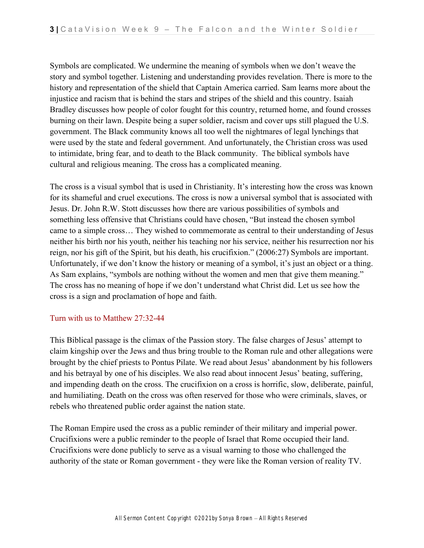Symbols are complicated. We undermine the meaning of symbols when we don't weave the story and symbol together. Listening and understanding provides revelation. There is more to the history and representation of the shield that Captain America carried. Sam learns more about the injustice and racism that is behind the stars and stripes of the shield and this country. Isaiah Bradley discusses how people of color fought for this country, returned home, and found crosses burning on their lawn. Despite being a super soldier, racism and cover ups still plagued the U.S. government. The Black community knows all too well the nightmares of legal lynchings that were used by the state and federal government. And unfortunately, the Christian cross was used to intimidate, bring fear, and to death to the Black community. The biblical symbols have cultural and religious meaning. The cross has a complicated meaning.

The cross is a visual symbol that is used in Christianity. It's interesting how the cross was known for its shameful and cruel executions. The cross is now a universal symbol that is associated with Jesus. Dr. John R.W. Stott discusses how there are various possibilities of symbols and something less offensive that Christians could have chosen, "But instead the chosen symbol came to a simple cross… They wished to commemorate as central to their understanding of Jesus neither his birth nor his youth, neither his teaching nor his service, neither his resurrection nor his reign, nor his gift of the Spirit, but his death, his crucifixion." (2006:27) Symbols are important. Unfortunately, if we don't know the history or meaning of a symbol, it's just an object or a thing. As Sam explains, "symbols are nothing without the women and men that give them meaning." The cross has no meaning of hope if we don't understand what Christ did. Let us see how the cross is a sign and proclamation of hope and faith.

## Turn with us to Matthew 27:32-44

This Biblical passage is the climax of the Passion story. The false charges of Jesus' attempt to claim kingship over the Jews and thus bring trouble to the Roman rule and other allegations were brought by the chief priests to Pontus Pilate. We read about Jesus' abandonment by his followers and his betrayal by one of his disciples. We also read about innocent Jesus' beating, suffering, and impending death on the cross. The crucifixion on a cross is horrific, slow, deliberate, painful, and humiliating. Death on the cross was often reserved for those who were criminals, slaves, or rebels who threatened public order against the nation state.

The Roman Empire used the cross as a public reminder of their military and imperial power. Crucifixions were a public reminder to the people of Israel that Rome occupied their land. Crucifixions were done publicly to serve as a visual warning to those who challenged the authority of the state or Roman government - they were like the Roman version of reality TV.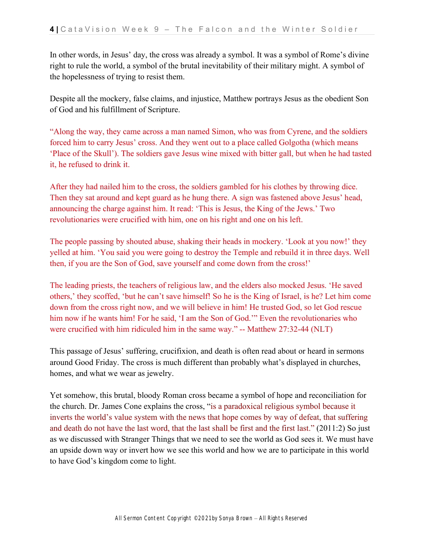In other words, in Jesus' day, the cross was already a symbol. It was a symbol of Rome's divine right to rule the world, a symbol of the brutal inevitability of their military might. A symbol of the hopelessness of trying to resist them.

Despite all the mockery, false claims, and injustice, Matthew portrays Jesus as the obedient Son of God and his fulfillment of Scripture.

"Along the way, they came across a man named Simon, who was from Cyrene, and the soldiers forced him to carry Jesus' cross. And they went out to a place called Golgotha (which means 'Place of the Skull'). The soldiers gave Jesus wine mixed with bitter gall, but when he had tasted it, he refused to drink it.

After they had nailed him to the cross, the soldiers gambled for his clothes by throwing dice. Then they sat around and kept guard as he hung there. A sign was fastened above Jesus' head, announcing the charge against him. It read: 'This is Jesus, the King of the Jews.' Two revolutionaries were crucified with him, one on his right and one on his left.

The people passing by shouted abuse, shaking their heads in mockery. 'Look at you now!' they yelled at him. 'You said you were going to destroy the Temple and rebuild it in three days. Well then, if you are the Son of God, save yourself and come down from the cross!'

The leading priests, the teachers of religious law, and the elders also mocked Jesus. 'He saved others,' they scoffed, 'but he can't save himself! So he is the King of Israel, is he? Let him come down from the cross right now, and we will believe in him! He trusted God, so let God rescue him now if he wants him! For he said, 'I am the Son of God.'" Even the revolutionaries who were crucified with him ridiculed him in the same way." -- Matthew 27:32-44 (NLT)

This passage of Jesus' suffering, crucifixion, and death is often read about or heard in sermons around Good Friday. The cross is much different than probably what's displayed in churches, homes, and what we wear as jewelry.

Yet somehow, this brutal, bloody Roman cross became a symbol of hope and reconciliation for the church. Dr. James Cone explains the cross, "is a paradoxical religious symbol because it inverts the world's value system with the news that hope comes by way of defeat, that suffering and death do not have the last word, that the last shall be first and the first last." (2011:2) So just as we discussed with Stranger Things that we need to see the world as God sees it. We must have an upside down way or invert how we see this world and how we are to participate in this world to have God's kingdom come to light.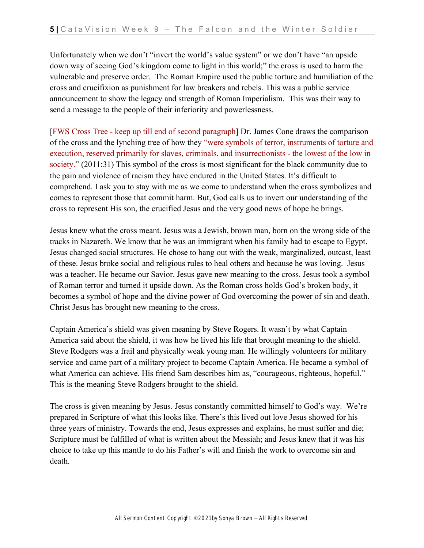Unfortunately when we don't "invert the world's value system" or we don't have "an upside down way of seeing God's kingdom come to light in this world;" the cross is used to harm the vulnerable and preserve order. The Roman Empire used the public torture and humiliation of the cross and crucifixion as punishment for law breakers and rebels. This was a public service announcement to show the legacy and strength of Roman Imperialism. This was their way to send a message to the people of their inferiority and powerlessness.

[FWS Cross Tree - keep up till end of second paragraph] Dr. James Cone draws the comparison of the cross and the lynching tree of how they "were symbols of terror, instruments of torture and execution, reserved primarily for slaves, criminals, and insurrectionists - the lowest of the low in society." (2011:31) This symbol of the cross is most significant for the black community due to the pain and violence of racism they have endured in the United States. It's difficult to comprehend. I ask you to stay with me as we come to understand when the cross symbolizes and comes to represent those that commit harm. But, God calls us to invert our understanding of the cross to represent His son, the crucified Jesus and the very good news of hope he brings.

Jesus knew what the cross meant. Jesus was a Jewish, brown man, born on the wrong side of the tracks in Nazareth. We know that he was an immigrant when his family had to escape to Egypt. Jesus changed social structures. He chose to hang out with the weak, marginalized, outcast, least of these. Jesus broke social and religious rules to heal others and because he was loving. Jesus was a teacher. He became our Savior. Jesus gave new meaning to the cross. Jesus took a symbol of Roman terror and turned it upside down. As the Roman cross holds God's broken body, it becomes a symbol of hope and the divine power of God overcoming the power of sin and death. Christ Jesus has brought new meaning to the cross.

Captain America's shield was given meaning by Steve Rogers. It wasn't by what Captain America said about the shield, it was how he lived his life that brought meaning to the shield. Steve Rodgers was a frail and physically weak young man. He willingly volunteers for military service and came part of a military project to become Captain America. He became a symbol of what America can achieve. His friend Sam describes him as, "courageous, righteous, hopeful." This is the meaning Steve Rodgers brought to the shield.

The cross is given meaning by Jesus. Jesus constantly committed himself to God's way. We're prepared in Scripture of what this looks like. There's this lived out love Jesus showed for his three years of ministry. Towards the end, Jesus expresses and explains, he must suffer and die; Scripture must be fulfilled of what is written about the Messiah; and Jesus knew that it was his choice to take up this mantle to do his Father's will and finish the work to overcome sin and death.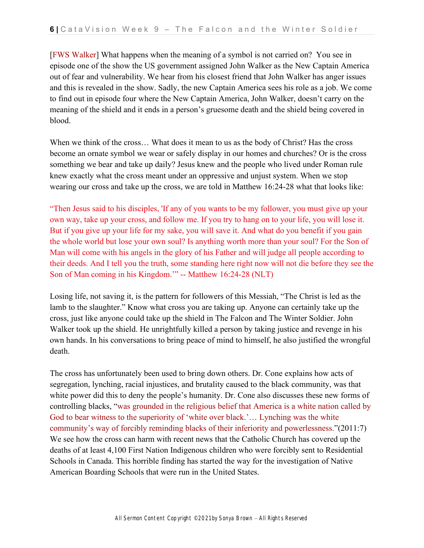[FWS Walker] What happens when the meaning of a symbol is not carried on? You see in episode one of the show the US government assigned John Walker as the New Captain America out of fear and vulnerability. We hear from his closest friend that John Walker has anger issues and this is revealed in the show. Sadly, the new Captain America sees his role as a job. We come to find out in episode four where the New Captain America, John Walker, doesn't carry on the meaning of the shield and it ends in a person's gruesome death and the shield being covered in blood.

When we think of the cross… What does it mean to us as the body of Christ? Has the cross become an ornate symbol we wear or safely display in our homes and churches? Or is the cross something we bear and take up daily? Jesus knew and the people who lived under Roman rule knew exactly what the cross meant under an oppressive and unjust system. When we stop wearing our cross and take up the cross, we are told in Matthew 16:24-28 what that looks like:

"Then Jesus said to his disciples, 'If any of you wants to be my follower, you must give up your own way, take up your cross, and follow me. If you try to hang on to your life, you will lose it. But if you give up your life for my sake, you will save it. And what do you benefit if you gain the whole world but lose your own soul? Is anything worth more than your soul? For the Son of Man will come with his angels in the glory of his Father and will judge all people according to their deeds. And I tell you the truth, some standing here right now will not die before they see the Son of Man coming in his Kingdom.'" -- Matthew 16:24-28 (NLT)

Losing life, not saving it, is the pattern for followers of this Messiah, "The Christ is led as the lamb to the slaughter." Know what cross you are taking up. Anyone can certainly take up the cross, just like anyone could take up the shield in The Falcon and The Winter Soldier. John Walker took up the shield. He unrightfully killed a person by taking justice and revenge in his own hands. In his conversations to bring peace of mind to himself, he also justified the wrongful death.

The cross has unfortunately been used to bring down others. Dr. Cone explains how acts of segregation, lynching, racial injustices, and brutality caused to the black community, was that white power did this to deny the people's humanity. Dr. Cone also discusses these new forms of controlling blacks, "was grounded in the religious belief that America is a white nation called by God to bear witness to the superiority of 'white over black.'… Lynching was the white community's way of forcibly reminding blacks of their inferiority and powerlessness."(2011:7) We see how the cross can harm with recent news that the Catholic Church has covered up the deaths of at least 4,100 First Nation Indigenous children who were forcibly sent to Residential Schools in Canada. This horrible finding has started the way for the investigation of Native American Boarding Schools that were run in the United States.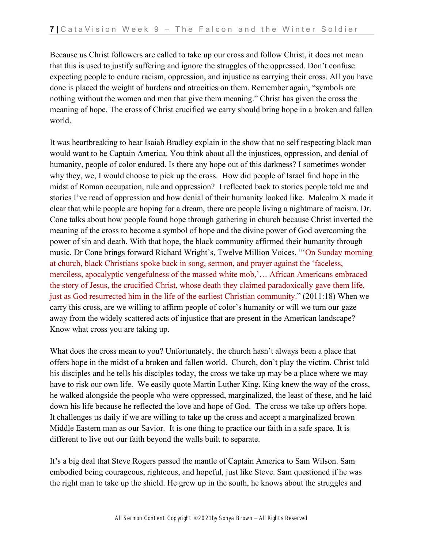Because us Christ followers are called to take up our cross and follow Christ, it does not mean that this is used to justify suffering and ignore the struggles of the oppressed. Don't confuse expecting people to endure racism, oppression, and injustice as carrying their cross. All you have done is placed the weight of burdens and atrocities on them. Remember again, "symbols are nothing without the women and men that give them meaning." Christ has given the cross the meaning of hope. The cross of Christ crucified we carry should bring hope in a broken and fallen world.

It was heartbreaking to hear Isaiah Bradley explain in the show that no self respecting black man would want to be Captain America. You think about all the injustices, oppression, and denial of humanity, people of color endured. Is there any hope out of this darkness? I sometimes wonder why they, we, I would choose to pick up the cross. How did people of Israel find hope in the midst of Roman occupation, rule and oppression? I reflected back to stories people told me and stories I've read of oppression and how denial of their humanity looked like. Malcolm X made it clear that while people are hoping for a dream, there are people living a nightmare of racism. Dr. Cone talks about how people found hope through gathering in church because Christ inverted the meaning of the cross to become a symbol of hope and the divine power of God overcoming the power of sin and death. With that hope, the black community affirmed their humanity through music. Dr Cone brings forward Richard Wright's, Twelve Million Voices, "'On Sunday morning at church, black Christians spoke back in song, sermon, and prayer against the 'faceless, merciless, apocalyptic vengefulness of the massed white mob,'… African Americans embraced the story of Jesus, the crucified Christ, whose death they claimed paradoxically gave them life, just as God resurrected him in the life of the earliest Christian community." (2011:18) When we carry this cross, are we willing to affirm people of color's humanity or will we turn our gaze away from the widely scattered acts of injustice that are present in the American landscape? Know what cross you are taking up.

What does the cross mean to you? Unfortunately, the church hasn't always been a place that offers hope in the midst of a broken and fallen world. Church, don't play the victim. Christ told his disciples and he tells his disciples today, the cross we take up may be a place where we may have to risk our own life. We easily quote Martin Luther King. King knew the way of the cross, he walked alongside the people who were oppressed, marginalized, the least of these, and he laid down his life because he reflected the love and hope of God. The cross we take up offers hope. It challenges us daily if we are willing to take up the cross and accept a marginalized brown Middle Eastern man as our Savior. It is one thing to practice our faith in a safe space. It is different to live out our faith beyond the walls built to separate.

It's a big deal that Steve Rogers passed the mantle of Captain America to Sam Wilson. Sam embodied being courageous, righteous, and hopeful, just like Steve. Sam questioned if he was the right man to take up the shield. He grew up in the south, he knows about the struggles and